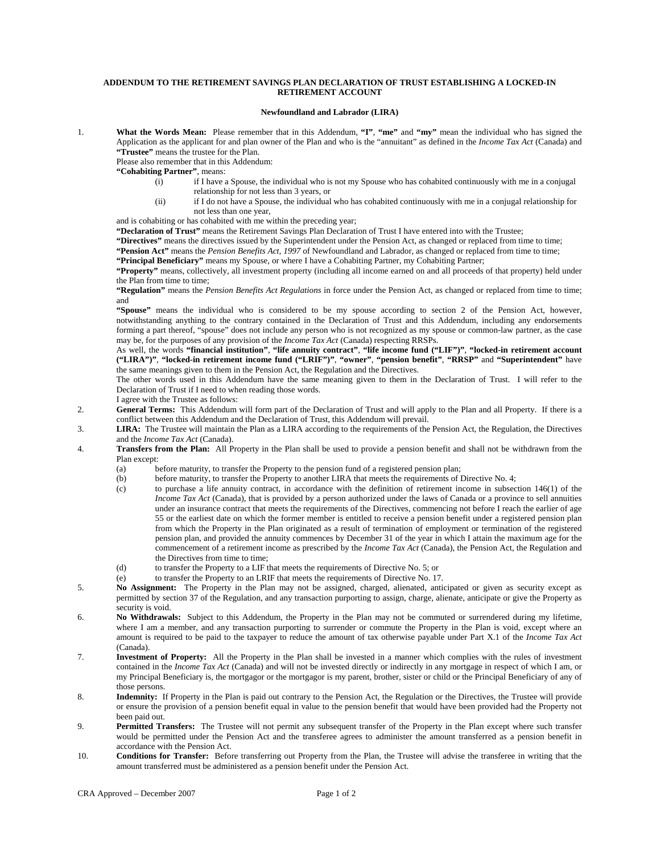## **ADDENDUM TO THE RETIREMENT SAVINGS PLAN DECLARATION OF TRUST ESTABLISHING A LOCKED-IN RETIREMENT ACCOUNT**

## **Newfoundland and Labrador (LIRA)**

1. **What the Words Mean:** Please remember that in this Addendum, **"I"**, **"me"** and **"my"** mean the individual who has signed the Application as the applicant for and plan owner of the Plan and who is the "annuitant" as defined in the *Income Tax Act* (Canada) and **"Trustee"** means the trustee for the Plan.

Please also remember that in this Addendum:

- **"Cohabiting Partner"**, means:
	- (i) if I have a Spouse, the individual who is not my Spouse who has cohabited continuously with me in a conjugal relationship for not less than 3 years, or
	- (ii) if I do not have a Spouse, the individual who has cohabited continuously with me in a conjugal relationship for not less than one year,

and is cohabiting or has cohabited with me within the preceding year;

**"Declaration of Trust"** means the Retirement Savings Plan Declaration of Trust I have entered into with the Trustee;

**"Directives"** means the directives issued by the Superintendent under the Pension Act, as changed or replaced from time to time;

**"Pension Act"** means the *Pension Benefits Act, 1997* of Newfoundland and Labrador, as changed or replaced from time to time;

**"Principal Beneficiary"** means my Spouse, or where I have a Cohabiting Partner, my Cohabiting Partner;

**"Property"** means, collectively, all investment property (including all income earned on and all proceeds of that property) held under the Plan from time to time;

**"Regulation"** means the *Pension Benefits Act Regulations* in force under the Pension Act, as changed or replaced from time to time; and

**"Spouse"** means the individual who is considered to be my spouse according to section 2 of the Pension Act, however, notwithstanding anything to the contrary contained in the Declaration of Trust and this Addendum, including any endorsements forming a part thereof, "spouse" does not include any person who is not recognized as my spouse or common-law partner, as the case may be, for the purposes of any provision of the *Income Tax Act* (Canada) respecting RRSPs.

As well, the words **"financial institution"**, **"life annuity contract"**, **"life income fund ("LIF")"**, **"locked-in retirement account ("LIRA")"**, **"locked-in retirement income fund ("LRIF")"**, **"owner"**, **"pension benefit"**, **"RRSP"** and **"Superintendent"** have the same meanings given to them in the Pension Act, the Regulation and the Directives.

The other words used in this Addendum have the same meaning given to them in the Declaration of Trust. I will refer to the Declaration of Trust if I need to when reading those words.

I agree with the Trustee as follows:

- 2. **General Terms:** This Addendum will form part of the Declaration of Trust and will apply to the Plan and all Property. If there is a conflict between this Addendum and the Declaration of Trust, this Addendum will prevail.
- 3. **LIRA:** The Trustee will maintain the Plan as a LIRA according to the requirements of the Pension Act, the Regulation, the Directives and the *Income Tax Act* (Canada).
- 4. **Transfers from the Plan:** All Property in the Plan shall be used to provide a pension benefit and shall not be withdrawn from the Plan except:
	- (a) before maturity, to transfer the Property to the pension fund of a registered pension plan;<br>(b) before maturity, to transfer the Property to another LIRA that meets the requirements of l
	- before maturity, to transfer the Property to another LIRA that meets the requirements of Directive No. 4;
	- (c) to purchase a life annuity contract, in accordance with the definition of retirement income in subsection 146(1) of the *Income Tax Act* (Canada), that is provided by a person authorized under the laws of Canada or a province to sell annuities under an insurance contract that meets the requirements of the Directives, commencing not before I reach the earlier of age 55 or the earliest date on which the former member is entitled to receive a pension benefit under a registered pension plan from which the Property in the Plan originated as a result of termination of employment or termination of the registered pension plan, and provided the annuity commences by December 31 of the year in which I attain the maximum age for the commencement of a retirement income as prescribed by the *Income Tax Act* (Canada), the Pension Act, the Regulation and the Directives from time to time;
	- (d) to transfer the Property to a LIF that meets the requirements of Directive No. 5; or
	- (e) to transfer the Property to an LRIF that meets the requirements of Directive No. 17.
- 5. **No Assignment:** The Property in the Plan may not be assigned, charged, alienated, anticipated or given as security except as permitted by section 37 of the Regulation, and any transaction purporting to assign, charge, alienate, anticipate or give the Property as security is void.
- 6. **No Withdrawals:** Subject to this Addendum, the Property in the Plan may not be commuted or surrendered during my lifetime, where I am a member, and any transaction purporting to surrender or commute the Property in the Plan is void, except where an amount is required to be paid to the taxpayer to reduce the amount of tax otherwise payable under Part X.1 of the *Income Tax Act* (Canada).
- 7. **Investment of Property:** All the Property in the Plan shall be invested in a manner which complies with the rules of investment contained in the *Income Tax Act* (Canada) and will not be invested directly or indirectly in any mortgage in respect of which I am, or my Principal Beneficiary is, the mortgagor or the mortgagor is my parent, brother, sister or child or the Principal Beneficiary of any of those persons.
- 8. **Indemnity:** If Property in the Plan is paid out contrary to the Pension Act, the Regulation or the Directives, the Trustee will provide or ensure the provision of a pension benefit equal in value to the pension benefit that would have been provided had the Property not been paid out.
- 9. **Permitted Transfers:** The Trustee will not permit any subsequent transfer of the Property in the Plan except where such transfer would be permitted under the Pension Act and the transferee agrees to administer the amount transferred as a pension benefit in accordance with the Pension Act.
- 10. **Conditions for Transfer:** Before transferring out Property from the Plan, the Trustee will advise the transferee in writing that the amount transferred must be administered as a pension benefit under the Pension Act.